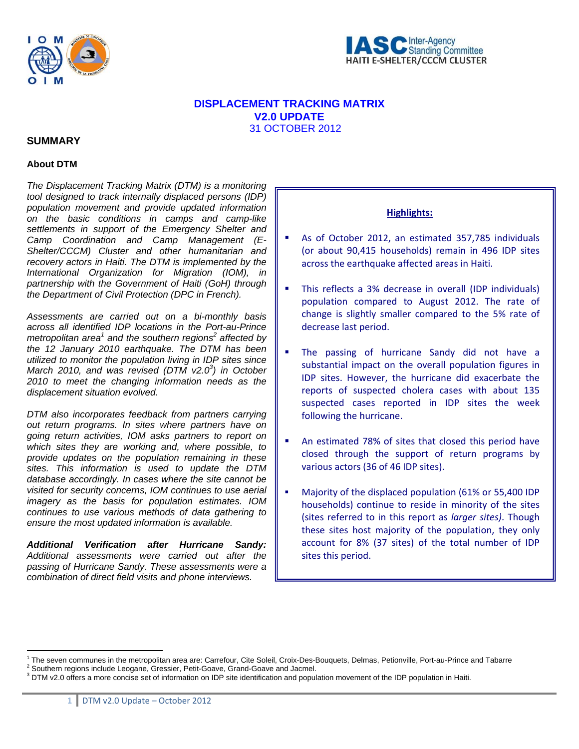



# **DISPLACEMENT TRACKING MATRIX V2.0 UPDATE**  31 OCTOBER 2012

### **SUMMARY**

### **About DTM**

 $\overline{a}$ 

*The Displacement Tracking Matrix (DTM) is a monitoring tool designed to track internally displaced persons (IDP) population movement and provide updated information on the basic conditions in camps and camp-like settlements in support of the Emergency Shelter and Camp Coordination and Camp Management (E-Shelter/CCCM) Cluster and other humanitarian and recovery actors in Haiti. The DTM is implemented by the International Organization for Migration (IOM), in partnership with the Government of Haiti (GoH) through the Department of Civil Protection (DPC in French).* 

*Assessments are carried out on a bi-monthly basis across all identified IDP locations in the Port-au-Prince metropolitan area*<sup>1</sup> and the southern regions<sup>2</sup> affected by *the 12 January 2010 earthquake. The DTM has been utilized to monitor the population living in IDP sites since*  March 2010, and was revised (DTM v2.0<sup>3</sup>) in October *2010 to meet the changing information needs as the displacement situation evolved.*

*DTM also incorporates feedback from partners carrying out return programs. In sites where partners have on going return activities, IOM asks partners to report on which sites they are working and, where possible, to provide updates on the population remaining in these sites. This information is used to update the DTM database accordingly. In cases where the site cannot be visited for security concerns, IOM continues to use aerial imagery as the basis for population estimates. IOM continues to use various methods of data gathering to ensure the most updated information is available.* 

*Additional Verification after Hurricane Sandy: Additional assessments were carried out after the passing of Hurricane Sandy. These assessments were a combination of direct field visits and phone interviews.* 

### **Highlights:**

- As of October 2012, an estimated 357,785 individuals (or about 90,415 households) remain in 496 IDP sites across the earthquake affected areas in Haiti.
- This reflects a 3% decrease in overall (IDP individuals) population compared to August 2012. The rate of change is slightly smaller compared to the 5% rate of decrease last period.
- The passing of hurricane Sandy did not have a substantial impact on the overall population figures in IDP sites. However, the hurricane did exacerbate the reports of suspected cholera cases with about 135 suspected cases reported in IDP sites the week following the hurricane.
- An estimated 78% of sites that closed this period have closed through the support of return programs by various actors (36 of 46 IDP sites).
- Majority of the displaced population (61% or 55,400 IDP households) continue to reside in minority of the sites (sites referred to in this report as *larger sites)*. Though these sites host majority of the population, they only account for 8% (37 sites) of the total number of IDP sites this period.

<sup>&</sup>lt;sup>1</sup> The seven communes in the metropolitan area are: Carrefour, Cite Soleil, Croix-Des-Bouquets, Delmas, Petionville, Port-au-Prince and Tabarre <sup>2</sup><br><sup>2</sup> Seuthers regions include Leggane, Crossier, Petit Ceaus, Croad Ceaus <sup>2</sup> Southern regions include Leogane, Gressier, Petit-Goave, Grand-Goave and Jacmel.

 $3$  DTM v2.0 offers a more concise set of information on IDP site identification and population movement of the IDP population in Haiti.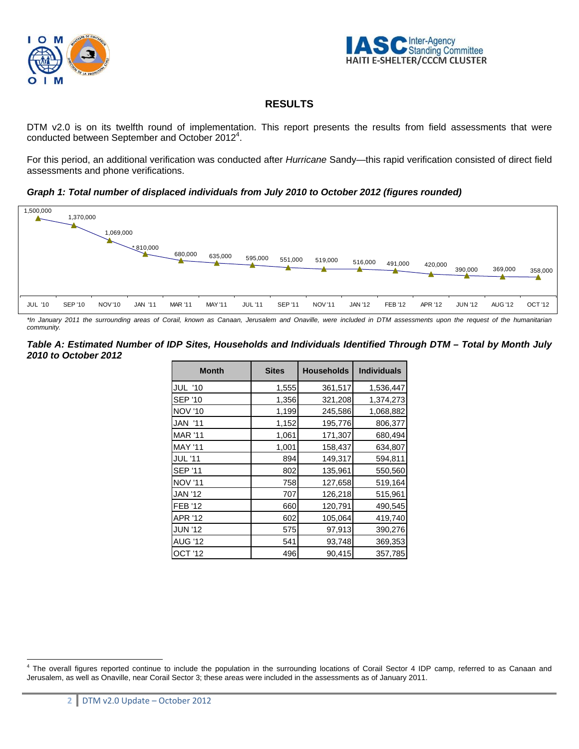



# **RESULTS**

DTM v2.0 is on its twelfth round of implementation. This report presents the results from field assessments that were conducted between September and October 2012<sup>4</sup>.

For this period, an additional verification was conducted after *Hurricane* Sandy—this rapid verification consisted of direct field assessments and phone verifications.

*Graph 1: Total number of displaced individuals from July 2010 to October 2012 (figures rounded)* 



*\*In January 2011 the surrounding areas of Corail, known as Canaan, Jerusalem and Onaville, were included in DTM assessments upon the request of the humanitarian community.* 

#### *Table A: Estimated Number of IDP Sites, Households and Individuals Identified Through DTM – Total by Month July 2010 to October 2012*

| <b>Month</b>   | <b>Sites</b> | <b>Households</b> | <b>Individuals</b> |
|----------------|--------------|-------------------|--------------------|
| <b>JUL '10</b> | 1,555        | 361,517           | 1,536,447          |
| <b>SEP '10</b> | 1,356        | 321,208           | 1,374,273          |
| <b>NOV '10</b> | 1,199        | 245,586           | 1,068,882          |
| <b>JAN '11</b> | 1,152        | 195,776           | 806,377            |
| <b>MAR '11</b> | 1,061        | 171,307           | 680,494            |
| <b>MAY '11</b> | 1,001        | 158,437           | 634,807            |
| <b>JUL</b> '11 | 894          | 149,317           | 594,811            |
| <b>SEP '11</b> | 802          | 135,961           | 550,560            |
| <b>NOV '11</b> | 758          | 127,658           | 519,164            |
| <b>JAN '12</b> | 707          | 126,218           | 515,961            |
| <b>FEB '12</b> | 660          | 120,791           | 490,545            |
| <b>APR '12</b> | 602          | 105,064           | 419,740            |
| <b>JUN '12</b> | 575          | 97,913            | 390,276            |
| <b>AUG '12</b> | 541          | 93,748            | 369,353            |
| <b>OCT '12</b> | 496          | 90,415            | 357,785            |

 $\overline{a}$ 

<sup>&</sup>lt;sup>4</sup> The overall figures reported continue to include the population in the surrounding locations of Corail Sector 4 IDP camp, referred to as Canaan and Jerusalem, as well as Onaville, near Corail Sector 3; these areas were included in the assessments as of January 2011.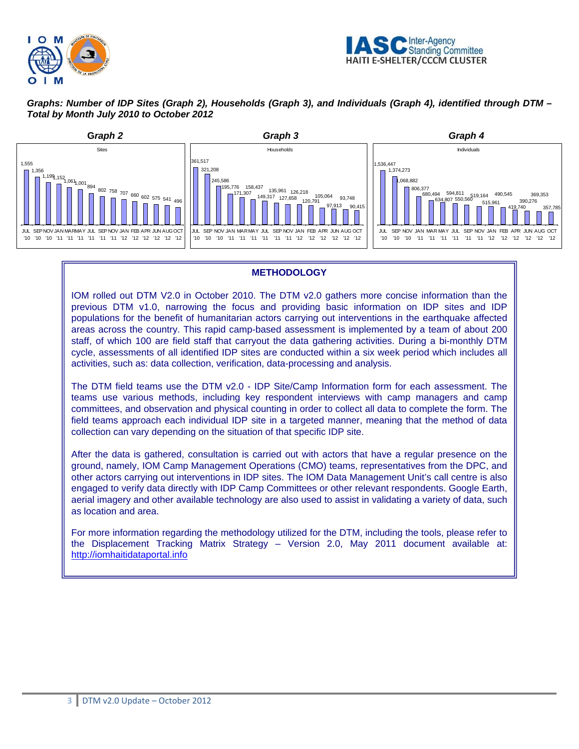



## *Graphs: Number of IDP Sites (Graph 2), Households (Graph 3), and Individuals (Graph 4), identified through DTM – Total by Month July 2010 to October 2012*



### **METHODOLOGY**

IOM rolled out DTM V2.0 in October 2010. The DTM v2.0 gathers more concise information than the previous DTM v1.0, narrowing the focus and providing basic information on IDP sites and IDP populations for the benefit of humanitarian actors carrying out interventions in the earthquake affected areas across the country. This rapid camp-based assessment is implemented by a team of about 200 staff, of which 100 are field staff that carryout the data gathering activities. During a bi-monthly DTM cycle, assessments of all identified IDP sites are conducted within a six week period which includes all activities, such as: data collection, verification, data-processing and analysis.

The DTM field teams use the DTM v2.0 - IDP Site/Camp Information form for each assessment. The teams use various methods, including key respondent interviews with camp managers and camp committees, and observation and physical counting in order to collect all data to complete the form. The field teams approach each individual IDP site in a targeted manner, meaning that the method of data collection can vary depending on the situation of that specific IDP site.

After the data is gathered, consultation is carried out with actors that have a regular presence on the ground, namely, IOM Camp Management Operations (CMO) teams, representatives from the DPC, and other actors carrying out interventions in IDP sites. The IOM Data Management Unit's call centre is also engaged to verify data directly with IDP Camp Committees or other relevant respondents. Google Earth, aerial imagery and other available technology are also used to assist in validating a variety of data, such as location and area.

For more information regarding the methodology utilized for the DTM, including the tools, please refer to the Displacement Tracking Matrix Strategy – Version 2.0, May 2011 document available at: http://iomhaitidataportal.info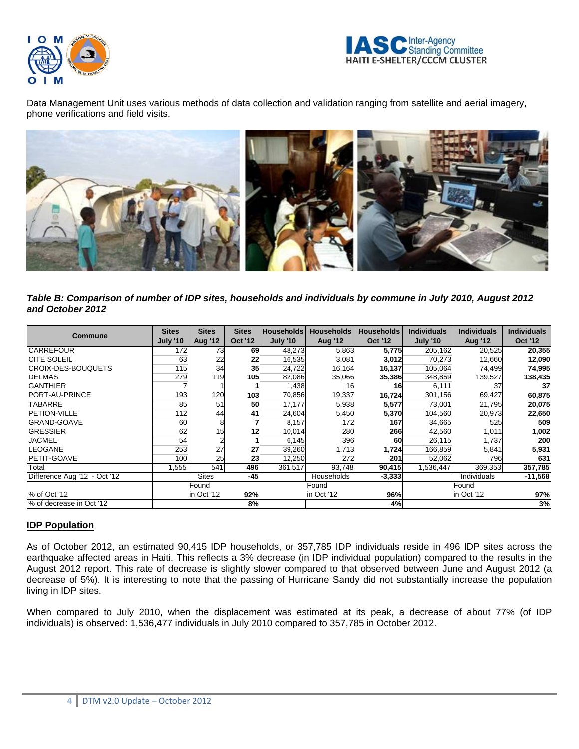



Data Management Unit uses various methods of data collection and validation ranging from satellite and aerial imagery, phone verifications and field visits.



*Table B: Comparison of number of IDP sites, households and individuals by commune in July 2010, August 2012 and October 2012* 

| <b>Commune</b>               | <b>Sites</b><br><b>July '10</b> | <b>Sites</b><br><b>Aug '12</b>         | <b>Sites</b><br><b>Oct '12</b> | <b>Households</b><br><b>July '10</b> | <b>Households</b><br><b>Aug '12</b> | <b>Households</b><br><b>Oct '12</b> | <b>Individuals</b><br><b>July '10</b> | <b>Individuals</b><br><b>Aug '12</b> | <b>Individuals</b><br><b>Oct '12</b> |
|------------------------------|---------------------------------|----------------------------------------|--------------------------------|--------------------------------------|-------------------------------------|-------------------------------------|---------------------------------------|--------------------------------------|--------------------------------------|
| <b>CARREFOUR</b>             | 172                             | 73                                     | 69                             | 48,273                               | 5,863                               | 5,775                               | 205,162                               | 20,525                               | 20,355                               |
| <b>ICITE SOLEIL</b>          | 63                              | 22                                     | 22                             | 16,535                               | 3,081                               | 3,012                               | 70,273                                | 12,660                               | 12,090                               |
| <b>ICROIX-DES-BOUQUETS</b>   | 115                             | 34                                     | 35 <sub>l</sub>                | 24,722                               | 16,164                              | 16,137                              | 105,064                               | 74,499                               | 74,995                               |
| <b>DELMAS</b>                | 279                             | 119                                    | 105                            | 82,086                               | 35,066                              | 35,386                              | 348,859                               | 139,527                              | 138,435                              |
| <b>GANTHIER</b>              |                                 |                                        |                                | 1,438                                | 16                                  | <b>16</b>                           | 6,111                                 | 37                                   | 37                                   |
| <b>IPORT-AU-PRINCE</b>       | 193                             | 120                                    | 103                            | 70,856                               | 19,337                              | 16,724                              | 301,156                               | 69,427                               | 60,875                               |
| <b>TABARRE</b>               | 85                              | 51                                     | 50                             | 17,177                               | 5,938                               | 5,577                               | 73,001                                | 21,795                               | 20,075                               |
| <b>PETION-VILLE</b>          | 112                             | 44                                     | 41                             | 24,604                               | 5,450                               | 5,370                               | 104,560                               | 20,973                               | 22,650                               |
| <b>GRAND-GOAVE</b>           | 60                              |                                        |                                | 8,157                                | 172                                 | 167                                 | 34,665                                | 525                                  | 509                                  |
| <b>GRESSIER</b>              | 62                              | 15                                     | 12                             | 10,014                               | 280                                 | 266                                 | 42,560                                | 1,011                                | 1,002                                |
| <b>JACMEL</b>                | 54                              |                                        |                                | 6,145                                | 396                                 | 60                                  | 26,115                                | 1,737                                | 200                                  |
| <b>LEOGANE</b>               | 253                             | 27                                     | 27                             | 39,260                               | 1,713                               | 1,724                               | 166,859                               | 5,841                                | 5,931                                |
| <b>PETIT-GOAVE</b>           | 100                             | 25                                     | 23                             | 12,250                               | 272                                 | 201                                 | 52,062                                | 796                                  | 631                                  |
| Total                        | .555                            | 541                                    | 496                            | 361,517                              | 93,748                              | 90,415                              | 1,536,447                             | 369,353                              | 357,785                              |
| Difference Aug '12 - Oct '12 |                                 | <b>Sites</b>                           | $-45$                          |                                      | Households                          | $-3,333$                            |                                       | Individuals                          | $-11,568$                            |
|                              | Found                           |                                        | Found                          |                                      |                                     | Found                               |                                       |                                      |                                      |
| % of Oct '12                 |                                 | 96%<br>in Oct '12<br>92%<br>in Oct '12 |                                | in Oct '12                           | 97%                                 |                                     |                                       |                                      |                                      |
| % of decrease in Oct '12     |                                 |                                        | 8%                             |                                      |                                     | 4%                                  |                                       |                                      | 3%                                   |

## **IDP Population**

As of October 2012, an estimated 90,415 IDP households, or 357,785 IDP individuals reside in 496 IDP sites across the earthquake affected areas in Haiti. This reflects a 3% decrease (in IDP individual population) compared to the results in the August 2012 report. This rate of decrease is slightly slower compared to that observed between June and August 2012 (a decrease of 5%). It is interesting to note that the passing of Hurricane Sandy did not substantially increase the population living in IDP sites.

When compared to July 2010, when the displacement was estimated at its peak, a decrease of about 77% (of IDP individuals) is observed: 1,536,477 individuals in July 2010 compared to 357,785 in October 2012.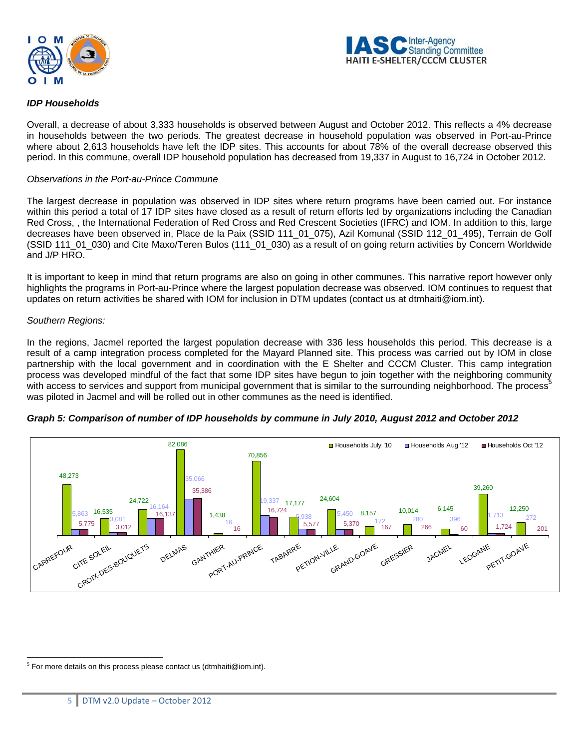



### *IDP Households*

Overall, a decrease of about 3,333 households is observed between August and October 2012. This reflects a 4% decrease in households between the two periods. The greatest decrease in household population was observed in Port-au-Prince where about 2,613 households have left the IDP sites. This accounts for about 78% of the overall decrease observed this period. In this commune, overall IDP household population has decreased from 19,337 in August to 16,724 in October 2012.

#### *Observations in the Port-au-Prince Commune*

The largest decrease in population was observed in IDP sites where return programs have been carried out. For instance within this period a total of 17 IDP sites have closed as a result of return efforts led by organizations including the Canadian Red Cross, , the International Federation of Red Cross and Red Crescent Societies (IFRC) and IOM. In addition to this, large decreases have been observed in, Place de la Paix (SSID 111\_01\_075), Azil Komunal (SSID 112\_01\_495), Terrain de Golf (SSID 111\_01\_030) and Cite Maxo/Teren Bulos (111\_01\_030) as a result of on going return activities by Concern Worldwide and J/P HRO.

It is important to keep in mind that return programs are also on going in other communes. This narrative report however only highlights the programs in Port-au-Prince where the largest population decrease was observed. IOM continues to request that updates on return activities be shared with IOM for inclusion in DTM updates (contact us at dtmhaiti@iom.int).

#### *Southern Regions:*

In the regions, Jacmel reported the largest population decrease with 336 less households this period. This decrease is a result of a camp integration process completed for the Mayard Planned site. This process was carried out by IOM in close partnership with the local government and in coordination with the E Shelter and CCCM Cluster. This camp integration process was developed mindful of the fact that some IDP sites have begun to join together with the neighboring community with access to services and support from municipal government that is similar to the surrounding neighborhood. The process<sup>5</sup> was piloted in Jacmel and will be rolled out in other communes as the need is identified.





 5 For more details on this process please contact us (dtmhaiti@iom.int).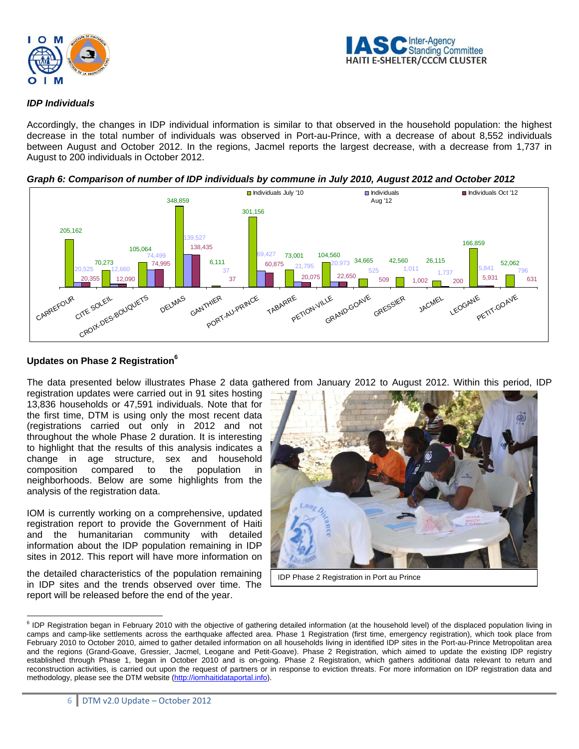



#### *IDP Individuals*

Accordingly, the changes in IDP individual information is similar to that observed in the household population: the highest decrease in the total number of individuals was observed in Port-au-Prince, with a decrease of about 8,552 individuals between August and October 2012. In the regions, Jacmel reports the largest decrease, with a decrease from 1,737 in August to 200 individuals in October 2012.



*Graph 6: Comparison of number of IDP individuals by commune in July 2010, August 2012 and October 2012* 

### **Updates on Phase 2 Registration6**

The data presented below illustrates Phase 2 data gathered from January 2012 to August 2012. Within this period, IDP

registration updates were carried out in 91 sites hosting 13,836 households or 47,591 individuals. Note that for the first time, DTM is using only the most recent data (registrations carried out only in 2012 and not throughout the whole Phase 2 duration. It is interesting to highlight that the results of this analysis indicates a change in age structure, sex and household composition compared to the population in neighborhoods. Below are some highlights from the analysis of the registration data.

IOM is currently working on a comprehensive, updated registration report to provide the Government of Haiti and the humanitarian community with detailed information about the IDP population remaining in IDP sites in 2012. This report will have more information on

the detailed characteristics of the population remaining in IDP sites and the trends observed over time. The report will be released before the end of the year.



IDP Phase 2 Registration in Port au Prince

ention began in February 2010 with the objective of gathering detailed information (at the household level) of the displaced population living in<br><sup>6</sup> IDP Registration began in February 2010 with the objective of gathering camps and camp-like settlements across the earthquake affected area. Phase 1 Registration (first time, emergency registration), which took place from February 2010 to October 2010, aimed to gather detailed information on all households living in identified IDP sites in the Port-au-Prince Metropolitan area and the regions (Grand-Goave, Gressier, Jacmel, Leogane and Petit-Goave). Phase 2 Registration, which aimed to update the existing IDP registry established through Phase 1, began in October 2010 and is on-going. Phase 2 Registration, which gathers additional data relevant to return and reconstruction activities, is carried out upon the request of partners or in response to eviction threats. For more information on IDP registration data and methodology, please see the DTM website (http://iomhaitidataportal.info).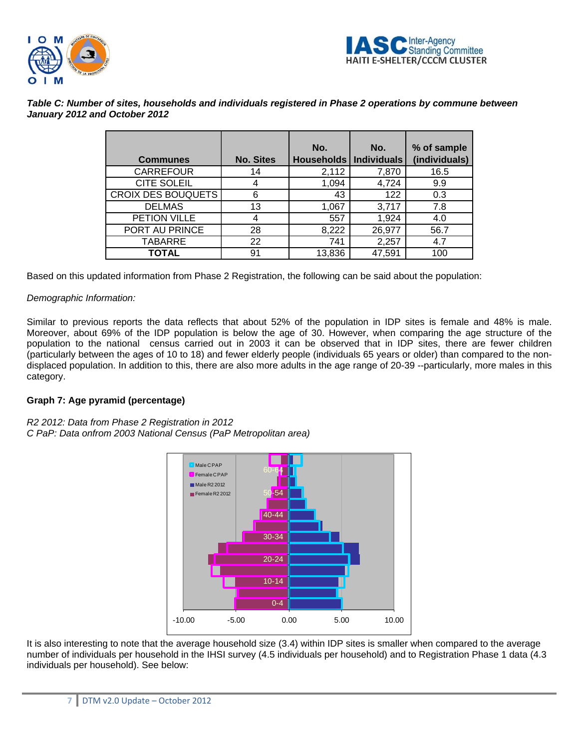



| Table C: Number of sites, households and individuals registered in Phase 2 operations by commune between |  |
|----------------------------------------------------------------------------------------------------------|--|
| January 2012 and October 2012                                                                            |  |

|                           |                  | No.               | No.                | % of sample   |
|---------------------------|------------------|-------------------|--------------------|---------------|
| <b>Communes</b>           | <b>No. Sites</b> | <b>Households</b> | <b>Individuals</b> | (individuals) |
| <b>CARREFOUR</b>          | 14               | 2,112             | 7,870              | 16.5          |
| CITE SOLEIL               | 4                | 1,094             | 4,724              | 9.9           |
| <b>CROIX DES BOUQUETS</b> | 6                | 43                | 122                | 0.3           |
| <b>DELMAS</b>             | 13               | 1,067             | 3,717              | 7.8           |
| PETION VILLE              | 4                | 557               | 1,924              | 4.0           |
| PORT AU PRINCE            | 28               | 8,222             | 26,977             | 56.7          |
| <b>TABARRE</b>            | 22               | 741               | 2,257              | 4.7           |
| TOTAL                     | 91               | 13,836            | 47,591             | 100           |

Based on this updated information from Phase 2 Registration, the following can be said about the population:

### *Demographic Information:*

Similar to previous reports the data reflects that about 52% of the population in IDP sites is female and 48% is male. Moreover, about 69% of the IDP population is below the age of 30. However, when comparing the age structure of the population to the national census carried out in 2003 it can be observed that in IDP sites, there are fewer children (particularly between the ages of 10 to 18) and fewer elderly people (individuals 65 years or older) than compared to the nondisplaced population. In addition to this, there are also more adults in the age range of 20-39 --particularly, more males in this category.

### **Graph 7: Age pyramid (percentage)**

*R2 2012: Data from Phase 2 Registration in 2012 C PaP: Data onfrom 2003 National Census (PaP Metropolitan area)* 



It is also interesting to note that the average household size (3.4) within IDP sites is smaller when compared to the average number of individuals per household in the IHSI survey (4.5 individuals per household) and to Registration Phase 1 data (4.3 individuals per household). See below: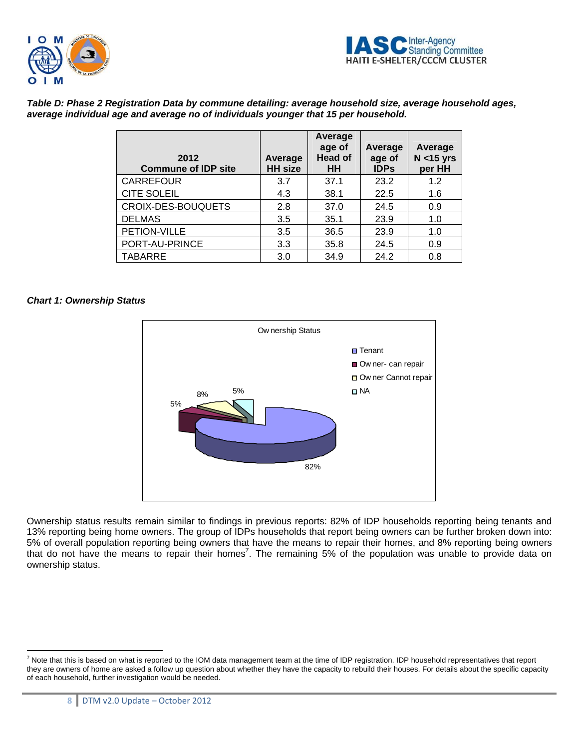



*Table D: Phase 2 Registration Data by commune detailing: average household size, average household ages, average individual age and average no of individuals younger that 15 per household.* 

| 2012<br><b>Commune of IDP site</b> | Average<br><b>HH</b> size | Average<br>age of<br><b>Head of</b><br><b>HH</b> | Average<br>age of<br><b>IDPs</b> | Average<br>$N < 15$ yrs<br>per HH |
|------------------------------------|---------------------------|--------------------------------------------------|----------------------------------|-----------------------------------|
| <b>CARREFOUR</b>                   | 3.7                       | 37.1                                             | 23.2                             | 1.2                               |
| <b>CITE SOLEIL</b>                 | 4.3                       | 38.1                                             | 22.5                             | 1.6                               |
| CROIX-DES-BOUQUETS                 | 2.8                       | 37.0                                             | 24.5                             | 0.9                               |
| <b>DELMAS</b>                      | 3.5                       | 35.1                                             | 23.9                             | 1.0                               |
| PETION-VILLE                       | 3.5                       | 36.5                                             | 23.9                             | 1.0                               |
| PORT-AU-PRINCE                     | 3.3                       | 35.8                                             | 24.5                             | 0.9                               |
| <b>TABARRE</b>                     | 3.0                       | 34.9                                             | 24.2                             | 0.8                               |

#### *Chart 1: Ownership Status*



Ownership status results remain similar to findings in previous reports: 82% of IDP households reporting being tenants and 13% reporting being home owners. The group of IDPs households that report being owners can be further broken down into: 5% of overall population reporting being owners that have the means to repair their homes, and 8% reporting being owners that do not have the means to repair their homes<sup>7</sup>. The remaining 5% of the population was unable to provide data on ownership status.

 $\overline{a}$ 

 $^7$  Note that this is based on what is reported to the IOM data management team at the time of IDP registration. IDP household representatives that report they are owners of home are asked a follow up question about whether they have the capacity to rebuild their houses. For details about the specific capacity of each household, further investigation would be needed.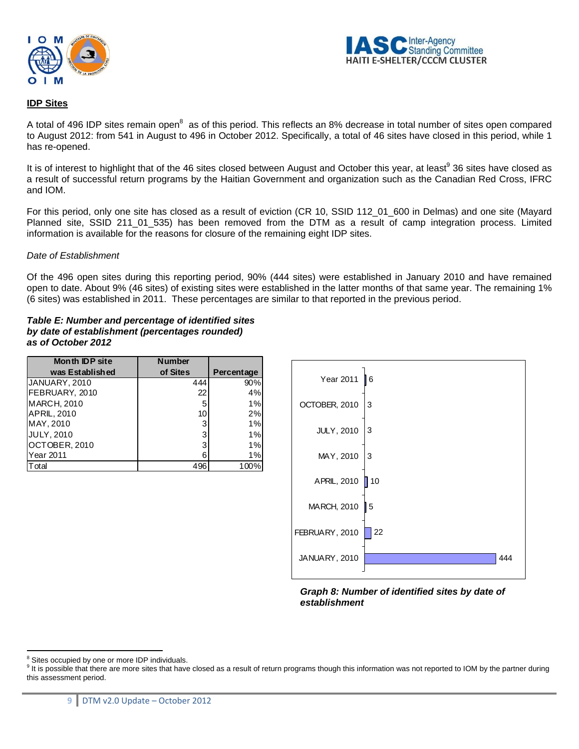



### **IDP Sites**

A total of 496 IDP sites remain open<sup>8</sup> as of this period. This reflects an 8% decrease in total number of sites open compared to August 2012: from 541 in August to 496 in October 2012. Specifically, a total of 46 sites have closed in this period, while 1 has re-opened.

It is of interest to highlight that of the 46 sites closed between August and October this year, at least<sup>9</sup> 36 sites have closed as a result of successful return programs by the Haitian Government and organization such as the Canadian Red Cross, IFRC and IOM.

For this period, only one site has closed as a result of eviction (CR 10, SSID 112\_01\_600 in Delmas) and one site (Mayard Planned site, SSID 211\_01\_535) has been removed from the DTM as a result of camp integration process. Limited information is available for the reasons for closure of the remaining eight IDP sites.

#### *Date of Establishment*

Of the 496 open sites during this reporting period, 90% (444 sites) were established in January 2010 and have remained open to date. About 9% (46 sites) of existing sites were established in the latter months of that same year. The remaining 1% (6 sites) was established in 2011. These percentages are similar to that reported in the previous period.

*Table E: Number and percentage of identified sites by date of establishment (percentages rounded) as of October 2012*

| <b>Month IDP site</b> | <b>Number</b> |            |
|-----------------------|---------------|------------|
| was Established       | of Sites      | Percentage |
| JANUARY, 2010         | 444           | 90%        |
| FEBRUARY, 2010        | 22            | 4%         |
| <b>MARCH, 2010</b>    | 5             | 1%         |
| <b>APRIL, 2010</b>    | 10            | 2%         |
| MAY, 2010             | 3             | 1%         |
| <b>JULY, 2010</b>     | 3             | 1%         |
| OCTOBER, 2010         | 3             | 1%         |
| Year 2011             | 6             | 1%         |
| otal                  | 496           | 100%       |



*Graph 8: Number of identified sites by date of establishment* 

<sup>&</sup>lt;sup>8</sup> Sites occupied by one or more IDP individuals.

 $9$  It is possible that there are more sites that have closed as a result of return programs though this information was not reported to IOM by the partner during this assessment period.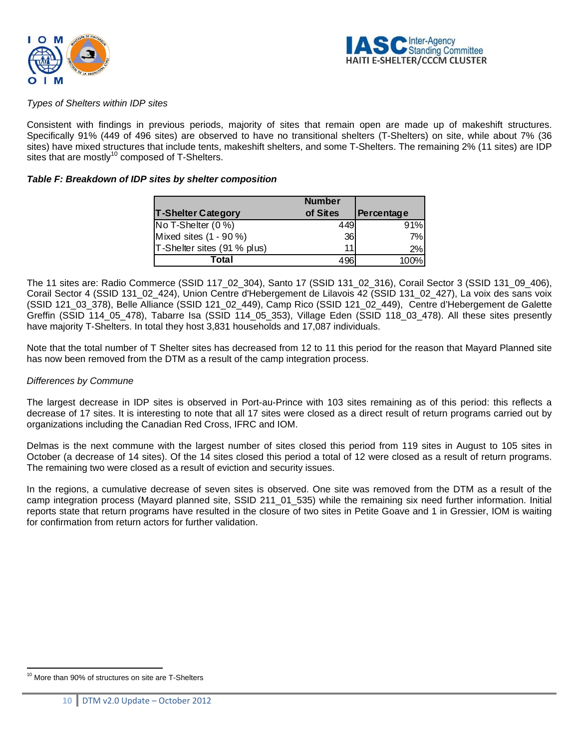



#### *Types of Shelters within IDP sites*

Consistent with findings in previous periods, majority of sites that remain open are made up of makeshift structures. Specifically 91% (449 of 496 sites) are observed to have no transitional shelters (T-Shelters) on site, while about 7% (36 sites) have mixed structures that include tents, makeshift shelters, and some T-Shelters. The remaining 2% (11 sites) are IDP sites that are mostly<sup>10</sup> composed of T-Shelters.

#### *Table F: Breakdown of IDP sites by shelter composition*

|                             | <b>Number</b> |            |
|-----------------------------|---------------|------------|
| <b>T-Shelter Category</b>   | of Sites      | Percentage |
| No T-Shelter (0 %)          | 449           | 91%        |
| Mixed sites (1 - 90 %)      | 36            | 7%         |
| T-Shelter sites (91 % plus) | 11            | 2%         |
| Total                       | 496'          | 100%       |

The 11 sites are: Radio Commerce (SSID 117\_02\_304), Santo 17 (SSID 131\_02\_316), Corail Sector 3 (SSID 131\_09\_406), Corail Sector 4 (SSID 131\_02\_424), Union Centre d'Hebergement de Lilavois 42 (SSID 131\_02\_427), La voix des sans voix (SSID 121\_03\_378), Belle Alliance (SSID 121\_02\_449), Camp Rico (SSID 121\_02\_449), Centre d'Hebergement de Galette Greffin (SSID 114\_05\_478), Tabarre Isa (SSID 114\_05\_353), Village Eden (SSID 118\_03\_478). All these sites presently have majority T-Shelters. In total they host 3,831 households and 17,087 individuals.

Note that the total number of T Shelter sites has decreased from 12 to 11 this period for the reason that Mayard Planned site has now been removed from the DTM as a result of the camp integration process.

#### *Differences by Commune*

The largest decrease in IDP sites is observed in Port-au-Prince with 103 sites remaining as of this period: this reflects a decrease of 17 sites. It is interesting to note that all 17 sites were closed as a direct result of return programs carried out by organizations including the Canadian Red Cross, IFRC and IOM.

Delmas is the next commune with the largest number of sites closed this period from 119 sites in August to 105 sites in October (a decrease of 14 sites). Of the 14 sites closed this period a total of 12 were closed as a result of return programs. The remaining two were closed as a result of eviction and security issues.

In the regions, a cumulative decrease of seven sites is observed. One site was removed from the DTM as a result of the camp integration process (Mayard planned site, SSID 211 01 535) while the remaining six need further information. Initial reports state that return programs have resulted in the closure of two sites in Petite Goave and 1 in Gressier, IOM is waiting for confirmation from return actors for further validation.

 $\overline{a}$ <sup>10</sup> More than 90% of structures on site are T-Shelters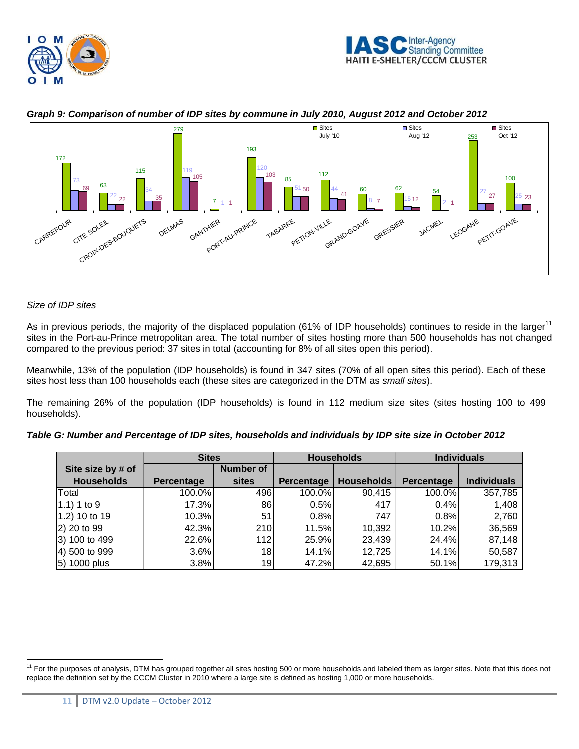





### *Graph 9: Comparison of number of IDP sites by commune in July 2010, August 2012 and October 2012*

#### *Size of IDP sites*

 $\overline{a}$ 

As in previous periods, the majority of the displaced population (61% of IDP households) continues to reside in the larger<sup>11</sup> sites in the Port-au-Prince metropolitan area. The total number of sites hosting more than 500 households has not changed compared to the previous period: 37 sites in total (accounting for 8% of all sites open this period).

Meanwhile, 13% of the population (IDP households) is found in 347 sites (70% of all open sites this period). Each of these sites host less than 100 households each (these sites are categorized in the DTM as *small sites*).

The remaining 26% of the population (IDP households) is found in 112 medium size sites (sites hosting 100 to 499 households).

|                   | <b>Sites</b>      |                  |                   | <b>Households</b> |            | <b>Individuals</b> |
|-------------------|-------------------|------------------|-------------------|-------------------|------------|--------------------|
| Site size by # of |                   | <b>Number of</b> |                   |                   |            |                    |
| <b>Households</b> | <b>Percentage</b> | <b>sites</b>     | <b>Percentage</b> | <b>Households</b> | Percentage | <b>Individuals</b> |
| Total             | 100.0%            | 496              | 100.0%            | 90,415            | 100.0%     | 357,785            |
| $(1.1)$ 1 to 9    | 17.3%             | 86               | 0.5%              | 417               | 0.4%       | 1,408              |
| 1.2) 10 to 19     | 10.3%             | 51               | 0.8%              | 747               | 0.8%       | 2,760              |
| 2) 20 to 99       | 42.3%             | 210              | 11.5%             | 10,392            | 10.2%      | 36,569             |
| 3) 100 to 499     | 22.6%             | 112              | 25.9%             | 23,439            | 24.4%      | 87,148             |
| 4) 500 to 999     | 3.6%              | 18               | 14.1%             | 12,725            | 14.1%      | 50,587             |
| 5) 1000 plus      | 3.8%              | 19               | 47.2%             | 42,695            | 50.1%      | 179,313            |

| Table G: Number and Percentage of IDP sites, households and individuals by IDP site size in October 2012 |  |  |
|----------------------------------------------------------------------------------------------------------|--|--|
|                                                                                                          |  |  |

<sup>&</sup>lt;sup>11</sup> For the purposes of analysis, DTM has grouped together all sites hosting 500 or more households and labeled them as larger sites. Note that this does not replace the definition set by the CCCM Cluster in 2010 where a large site is defined as hosting 1,000 or more households.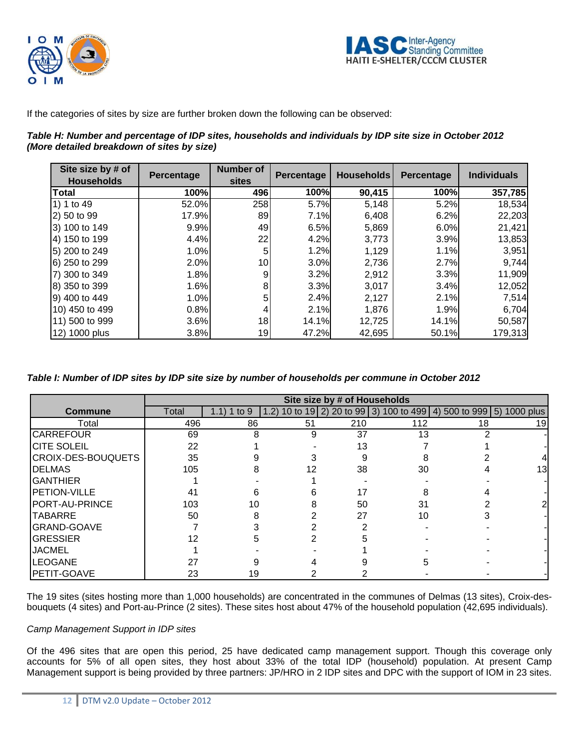



If the categories of sites by size are further broken down the following can be observed:

| Table H: Number and percentage of IDP sites, households and individuals by IDP site size in October 2012 |  |
|----------------------------------------------------------------------------------------------------------|--|
| (More detailed breakdown of sites by size)                                                               |  |

| Site size by # of<br><b>Households</b> | <b>Percentage</b> | <b>Number of</b><br><b>sites</b> | Percentage | <b>Households</b> | Percentage | <b>Individuals</b> |
|----------------------------------------|-------------------|----------------------------------|------------|-------------------|------------|--------------------|
| <b>Total</b>                           | 100%              | 496                              | 100%       | 90,415            | 100%       | 357,785            |
| 1) 1 to 49                             | 52.0%             | 258                              | 5.7%       | 5,148             | 5.2%       | 18,534             |
| 2) 50 to 99                            | 17.9%             | 89                               | 7.1%       | 6,408             | 6.2%       | 22,203             |
| 3) 100 to 149                          | 9.9%              | 49                               | 6.5%       | 5,869             | 6.0%       | 21,421             |
| 4) 150 to 199                          | 4.4%              | 22                               | 4.2%       | 3,773             | 3.9%       | 13,853             |
| 5) 200 to 249                          | 1.0%              | 5                                | 1.2%       | 1,129             | 1.1%       | 3,951              |
| 6) 250 to 299                          | 2.0%              | 10                               | 3.0%       | 2,736             | 2.7%       | 9,744              |
| 7) 300 to 349                          | 1.8%              | 9                                | 3.2%       | 2,912             | 3.3%       | 11,909             |
| 8) 350 to 399                          | 1.6%              | 8                                | 3.3%       | 3,017             | 3.4%       | 12,052             |
| 9) 400 to 449                          | 1.0%              | 5                                | 2.4%       | 2,127             | 2.1%       | 7,514              |
| 10) 450 to 499                         | 0.8%              | 4                                | 2.1%       | 1,876             | 1.9%       | 6,704              |
| 11) 500 to 999                         | 3.6%              | 18                               | 14.1%      | 12,725            | 14.1%      | 50,587             |
| 12) 1000 plus                          | 3.8%              | 19                               | 47.2%      | 42,695            | 50.1%      | 179,313            |

*Table I: Number of IDP sites by IDP site size by number of households per commune in October 2012* 

|                           | Site size by # of Households |             |       |     |     |                                                               |    |
|---------------------------|------------------------------|-------------|-------|-----|-----|---------------------------------------------------------------|----|
| <b>Commune</b>            | Total                        | 1.1) 1 to 9 | (1.2) |     |     | 10 to 19 2) 20 to 99 3) 100 to 499 4) 500 to 999 5) 1000 plus |    |
| Total                     | 496                          | 86          | 51    | 210 | 112 | 18                                                            | 19 |
| <b>CARREFOUR</b>          | 69                           | 8           | 9     | 37  | 13  |                                                               |    |
| <b>CITE SOLEIL</b>        | 22                           |             |       | 13  |     |                                                               |    |
| <b>CROIX-DES-BOUQUETS</b> | 35                           |             |       |     |     |                                                               |    |
| <b>DELMAS</b>             | 105                          |             | 12    | 38  | 30  |                                                               | IЗ |
| <b>GANTHIER</b>           |                              |             |       |     |     |                                                               |    |
| PETION-VILLE              | 41                           |             |       | 17  |     |                                                               |    |
| PORT-AU-PRINCE            | 103                          | 10          |       | 50  | 31  |                                                               |    |
| <b>TABARRE</b>            | 50                           |             |       | 27  | 10  |                                                               |    |
| <b>GRAND-GOAVE</b>        |                              |             |       |     |     |                                                               |    |
| <b>GRESSIER</b>           |                              |             |       |     |     |                                                               |    |
| <b>JACMEL</b>             |                              |             |       |     |     |                                                               |    |
| <b>LEOGANE</b>            | 27                           |             |       |     |     |                                                               |    |
| PETIT-GOAVE               | 23                           | 19          |       |     |     |                                                               |    |

The 19 sites (sites hosting more than 1,000 households) are concentrated in the communes of Delmas (13 sites), Croix-desbouquets (4 sites) and Port-au-Prince (2 sites). These sites host about 47% of the household population (42,695 individuals).

### *Camp Management Support in IDP sites*

Of the 496 sites that are open this period, 25 have dedicated camp management support. Though this coverage only accounts for 5% of all open sites, they host about 33% of the total IDP (household) population. At present Camp Management support is being provided by three partners: JP/HRO in 2 IDP sites and DPC with the support of IOM in 23 sites.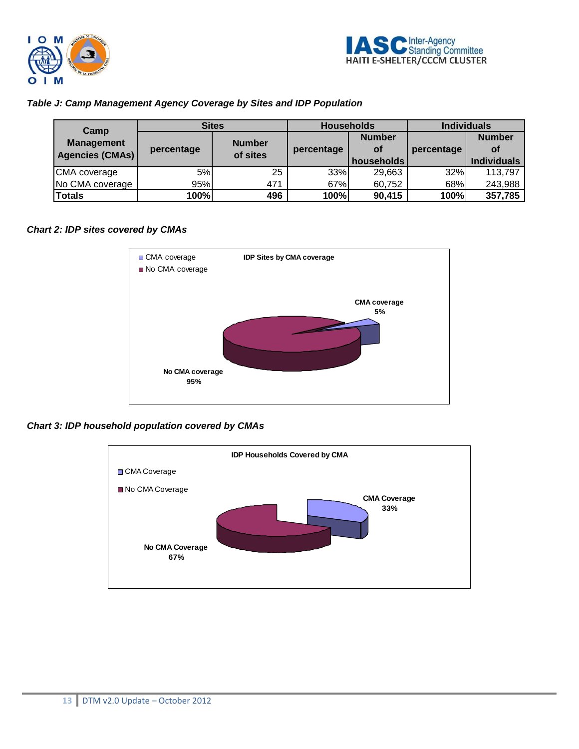



## *Table J: Camp Management Agency Coverage by Sites and IDP Population*

| Camp<br><b>Management</b><br>Agencies (CMAs) | <b>Sites</b> |                           | <b>Households</b> |               | <b>Individuals</b> |                    |
|----------------------------------------------|--------------|---------------------------|-------------------|---------------|--------------------|--------------------|
|                                              | percentage   | <b>Number</b><br>of sites |                   | <b>Number</b> |                    | <b>Number</b>      |
|                                              |              |                           | percentage        | οf            | percentage         | Οf                 |
|                                              |              |                           |                   | households    |                    | <b>Individuals</b> |
| ICMA coverage                                | 5%           | 25                        | 33%               | 29,663        | 32%                | 113,797            |
| No CMA coverage                              | 95%          | 471                       | 67%               | 60,752        | 68%                | 243,988            |
| <b>Totals</b>                                | 100%         | 496                       | 100%              | 90,415        | 100%               | 357,785            |

## *Chart 2: IDP sites covered by CMAs*



*Chart 3: IDP household population covered by CMAs* 

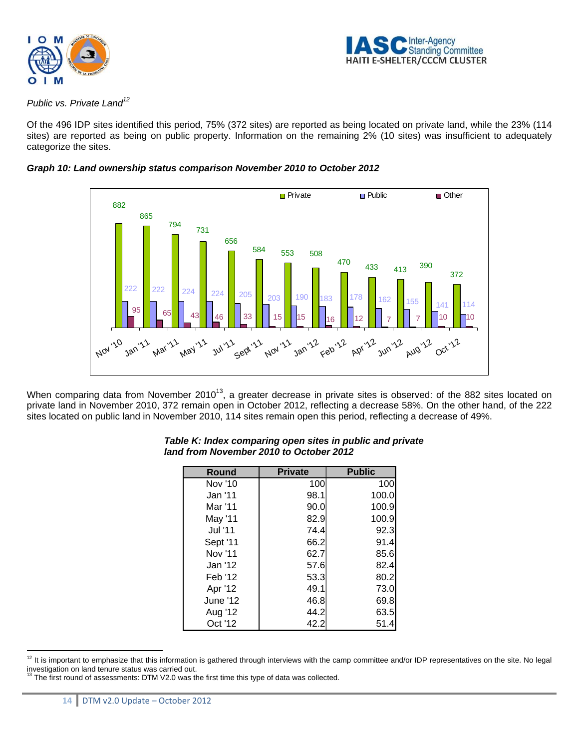



## *Public vs. Private Land12*

Of the 496 IDP sites identified this period, 75% (372 sites) are reported as being located on private land, while the 23% (114 sites) are reported as being on public property. Information on the remaining 2% (10 sites) was insufficient to adequately categorize the sites.





When comparing data from November 2010<sup>13</sup>, a greater decrease in private sites is observed: of the 882 sites located on private land in November 2010, 372 remain open in October 2012, reflecting a decrease 58%. On the other hand, of the 222 sites located on public land in November 2010, 114 sites remain open this period, reflecting a decrease of 49%.

| <b>Round</b> | <b>Private</b> | <b>Public</b> |
|--------------|----------------|---------------|
| Nov '10      | 100            | 100           |
| Jan '11      | 98.1           | 100.0         |
| Mar '11      | 90.0           | 100.9         |
| May '11      | 82.9           | 100.9         |
| Jul '11      | 74.4           | 92.3          |
| Sept '11     | 66.2           | 91.4          |
| Nov '11      | 62.7           | 85.6          |
| Jan '12      | 57.6           | 82.4          |
| Feb '12      | 53.3           | 80.2          |
| Apr '12      | 49.1           | 73.0          |
| June '12     | 46.8           | 69.8          |
| Aug '12      | 44.2           | 63.5          |
| Oct '12      | 42.2           | 51.4          |

#### *Table K: Index comparing open sites in public and private land from November 2010 to October 2012*

 $\overline{a}$ 

 $12$  It is important to emphasize that this information is gathered through interviews with the camp committee and/or IDP representatives on the site. No legal investigation on land tenure status was carried out.<br><sup>13</sup> The first round of assessments: DTM V2.0 was the first time this type of data was collected.